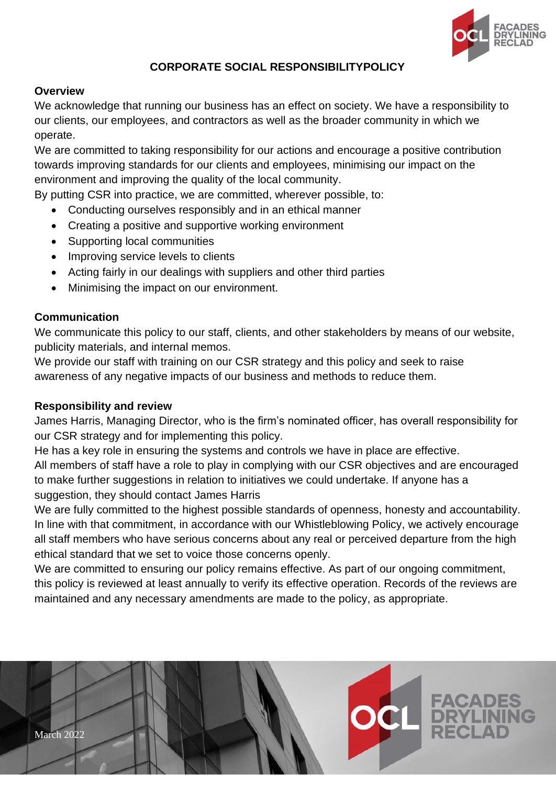

### **CORPORATE SOCIAL RESPONSIBILITYPOLICY**

#### **Overview**

We acknowledge that running our business has an effect on society. We have a responsibility to our clients, our employees, and contractors as well as the broader community in which we operate.

We are committed to taking responsibility for our actions and encourage a positive contribution towards improving standards for our clients and employees, minimising our impact on the environment and improving the quality of the local community.

By putting CSR into practice, we are committed, wherever possible, to:

- Conducting ourselves responsibly and in an ethical manner
- Creating a positive and supportive working environment
- Supporting local communities
- Improving service levels to clients
- Acting fairly in our dealings with suppliers and other third parties
- Minimising the impact on our environment.

### **Communication**

We communicate this policy to our staff, clients, and other stakeholders by means of our website, publicity materials, and internal memos.

We provide our staff with training on our CSR strategy and this policy and seek to raise awareness of any negative impacts of our business and methods to reduce them.

### **Responsibility and review**

James Harris, Managing Director, who is the firm's nominated officer, has overall responsibility for our CSR strategy and for implementing this policy.

He has a key role in ensuring the systems and controls we have in place are effective.

All members of staff have a role to play in complying with our CSR objectives and are encouraged to make further suggestions in relation to initiatives we could undertake. If anyone has a suggestion, they should contact James Harris

We are fully committed to the highest possible standards of openness, honesty and accountability. In line with that commitment, in accordance with our Whistleblowing Policy, we actively encourage all staff members who have serious concerns about any real or perceived departure from the high ethical standard that we set to voice those concerns openly.

We are committed to ensuring our policy remains effective. As part of our ongoing commitment, this policy is reviewed at least annually to verify its effective operation. Records of the reviews are maintained and any necessary amendments are made to the policy, as appropriate.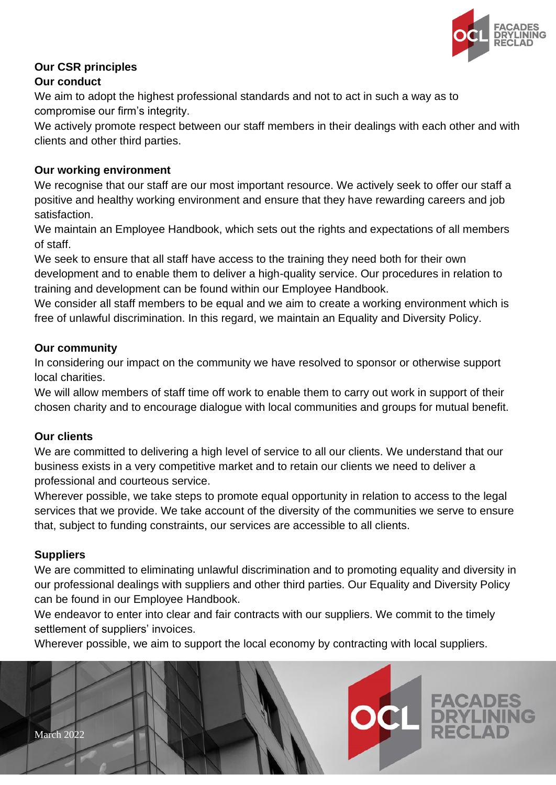

# **Our CSR principles**

### **Our conduct**

We aim to adopt the highest professional standards and not to act in such a way as to compromise our firm's integrity.

We actively promote respect between our staff members in their dealings with each other and with clients and other third parties.

### **Our working environment**

We recognise that our staff are our most important resource. We actively seek to offer our staff a positive and healthy working environment and ensure that they have rewarding careers and job satisfaction.

We maintain an Employee Handbook, which sets out the rights and expectations of all members of staff.

We seek to ensure that all staff have access to the training they need both for their own development and to enable them to deliver a high-quality service. Our procedures in relation to training and development can be found within our Employee Handbook.

We consider all staff members to be equal and we aim to create a working environment which is free of unlawful discrimination. In this regard, we maintain an Equality and Diversity Policy.

### **Our community**

In considering our impact on the community we have resolved to sponsor or otherwise support local charities.

We will allow members of staff time off work to enable them to carry out work in support of their chosen charity and to encourage dialogue with local communities and groups for mutual benefit.

### **Our clients**

We are committed to delivering a high level of service to all our clients. We understand that our business exists in a very competitive market and to retain our clients we need to deliver a professional and courteous service.

Wherever possible, we take steps to promote equal opportunity in relation to access to the legal services that we provide. We take account of the diversity of the communities we serve to ensure that, subject to funding constraints, our services are accessible to all clients.

## **Suppliers**

We are committed to eliminating unlawful discrimination and to promoting equality and diversity in our professional dealings with suppliers and other third parties. Our Equality and Diversity Policy can be found in our Employee Handbook.

We endeavor to enter into clear and fair contracts with our suppliers. We commit to the timely settlement of suppliers' invoices.

Wherever possible, we aim to support the local economy by contracting with local suppliers.